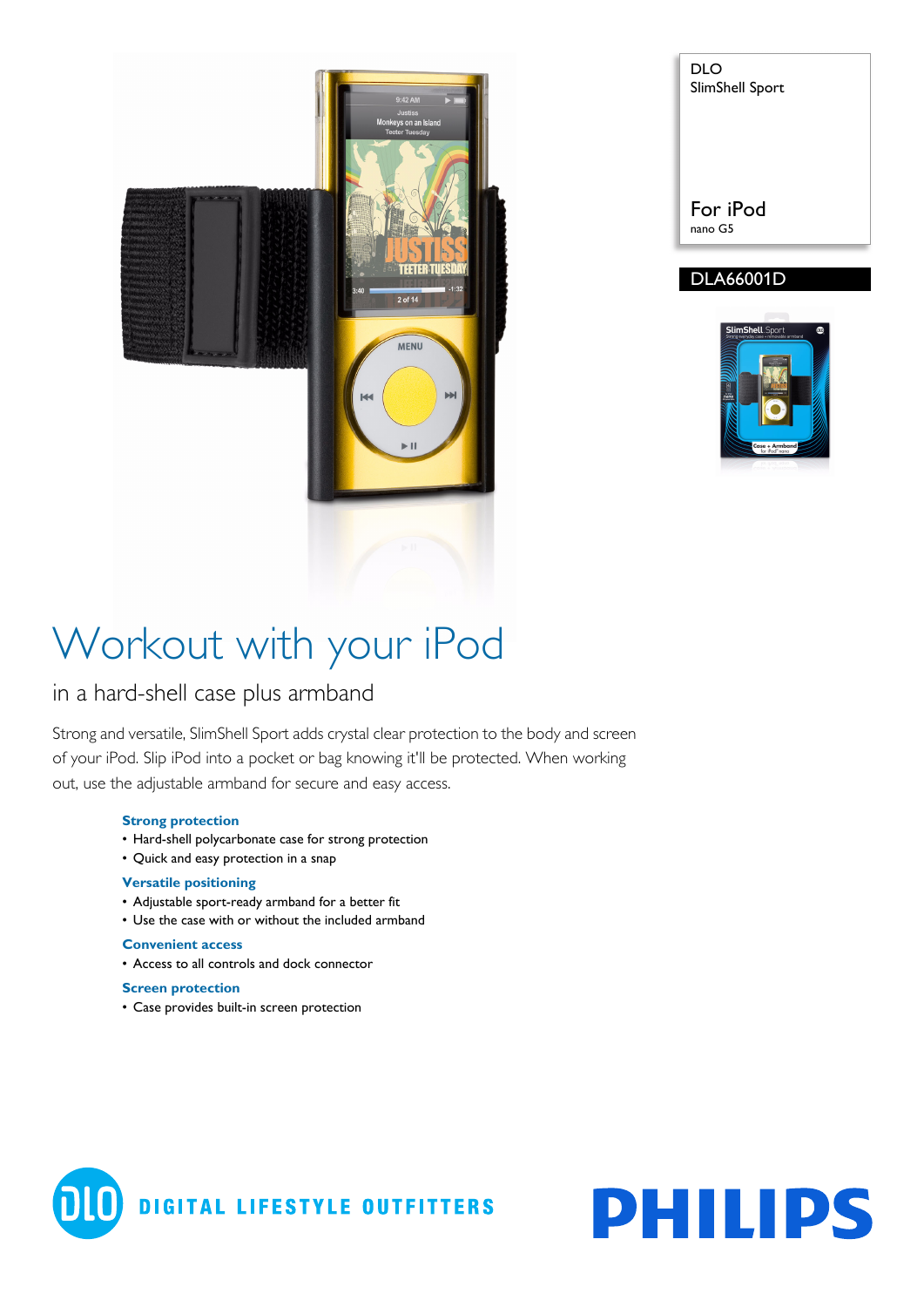

| DLO<br>SlimShell Sport |
|------------------------|
| For iPod<br>nano G5    |

### DLA66001D



# Workout with your iPod

### in a hard-shell case plus armband

Strong and versatile, SlimShell Sport adds crystal clear protection to the body and screen of your iPod. Slip iPod into a pocket or bag knowing it'll be protected. When working out, use the adjustable armband for secure and easy access.

#### **Strong protection**

- Hard-shell polycarbonate case for strong protection
- Quick and easy protection in a snap

#### **Versatile positioning**

- Adjustable sport-ready armband for a better fit
- Use the case with or without the included armband

#### **Convenient access**

• Access to all controls and dock connector

#### **Screen protection**

• Case provides built-in screen protection